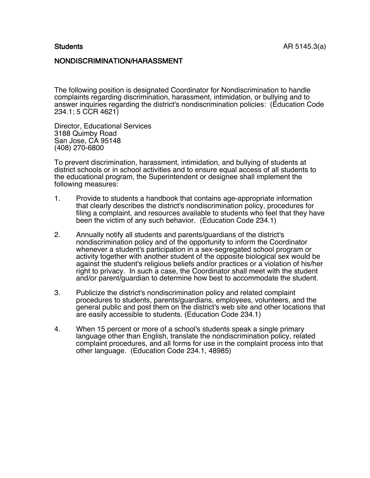### NONDISCRIMINATION/HARASSMENT

The following position is designated Coordinator for Nondiscrimination to handle complaints regarding discrimination, harassment, intimidation, or bullying and to answer inquiries regarding the district's nondiscrimination policies: (Education Code 234.1; 5 CCR 4621)

Director, Educational Services 3188 Quimby Road San Jose, CA 95148 (408) 270-6800

To prevent discrimination, harassment, intimidation, and bullying of students at district schools or in school activities and to ensure equal access of all students to the educational program, the Superintendent or designee shall implement the following measures:

- 1. Provide to students a handbook that contains age-appropriate information that clearly describes the district's nondiscrimination policy, procedures for filing a complaint, and resources available to students who feel that they have been the victim of any such behavior. (Education Code 234.1)
- 2. Annually notify all students and parents/guardians of the district's nondiscrimination policy and of the opportunity to inform the Coordinator whenever a student's participation in a sex-segregated school program or activity together with another student of the opposite biological sex would be against the student's religious beliefs and/or practices or a violation of his/her right to privacy. In such a case, the Coordinator shall meet with the student and/or parent/guardian to determine how best to accommodate the student.
- 3. Publicize the district's nondiscrimination policy and related complaint procedures to students, parents/guardians, employees, volunteers, and the general public and post them on the district's web site and other locations that are easily accessible to students. (Education Code 234.1)
- 4. When 15 percent or more of a school's students speak a single primary language other than English, translate the nondiscrimination policy, related complaint procedures, and all forms for use in the complaint process into that other language. (Education Code 234.1, 48985)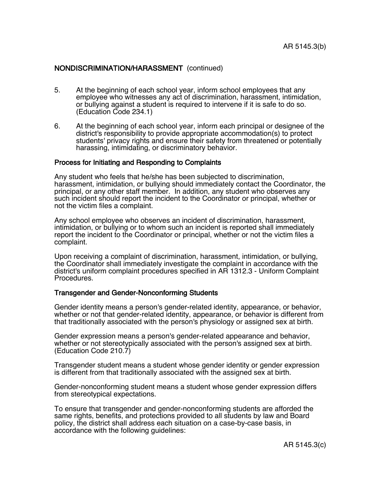### NONDISCRIMINATION/HARASSMENT (continued)

- 5. At the beginning of each school year, inform school employees that any employee who witnesses any act of discrimination, harassment, intimidation, or bullying against a student is required to intervene if it is safe to do so. (Education Code 234.1)
- 6. At the beginning of each school year, inform each principal or designee of the district's responsibility to provide appropriate accommodation(s) to protect students' privacy rights and ensure their safety from threatened or potentially harassing, intimidating, or discriminatory behavior.

#### Process for Initiating and Responding to Complaints

Any student who feels that he/she has been subjected to discrimination, harassment, intimidation, or bullying should immediately contact the Coordinator, the principal, or any other staff member. In addition, any student who observes any such incident should report the incident to the Coordinator or principal, whether or not the victim files a complaint.

Any school employee who observes an incident of discrimination, harassment, intimidation, or bullying or to whom such an incident is reported shall immediately report the incident to the Coordinator or principal, whether or not the victim files a complaint.

Upon receiving a complaint of discrimination, harassment, intimidation, or bullying, the Coordinator shall immediately investigate the complaint in accordance with the district's uniform complaint procedures specified in AR 1312.3 - Uniform Complaint Procedures.

#### Transgender and Gender-Nonconforming Students

Gender identity means a person's gender-related identity, appearance, or behavior, whether or not that gender-related identity, appearance, or behavior is different from that traditionally associated with the person's physiology or assigned sex at birth.

Gender expression means a person's gender-related appearance and behavior, whether or not stereotypically associated with the person's assigned sex at birth. (Education Code 210.7)

Transgender student means a student whose gender identity or gender expression is different from that traditionally associated with the assigned sex at birth.

Gender-nonconforming student means a student whose gender expression differs from stereotypical expectations.

To ensure that transgender and gender-nonconforming students are afforded the same rights, benefits, and protections provided to all students by law and Board policy, the district shall address each situation on a case-by-case basis, in accordance with the following guidelines: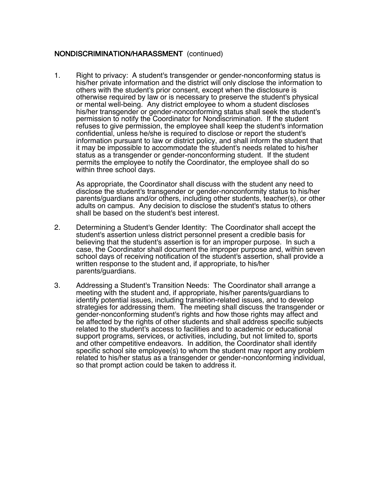# NONDISCRIMINATION/HARASSMENT (continued)

1. Right to privacy: A student's transgender or gender-nonconforming status is his/her private information and the district will only disclose the information to others with the student's prior consent, except when the disclosure is otherwise required by law or is necessary to preserve the student's physical or mental well-being. Any district employee to whom a student discloses his/her transgender or gender-nonconforming status shall seek the student's permission to notify the Coordinator for Nondiscrimination. If the student refuses to give permission, the employee shall keep the student's information confidential, unless he/she is required to disclose or report the student's information pursuant to law or district policy, and shall inform the student that it may be impossible to accommodate the student's needs related to his/her status as a transgender or gender-nonconforming student. If the student permits the employee to notify the Coordinator, the employee shall do so within three school days.

As appropriate, the Coordinator shall discuss with the student any need to disclose the student's transgender or gender-nonconformity status to his/her parents/guardians and/or others, including other students, teacher(s), or other adults on campus. Any decision to disclose the student's status to others shall be based on the student's best interest.

- 2. Determining a Student's Gender Identity: The Coordinator shall accept the student's assertion unless district personnel present a credible basis for believing that the student's assertion is for an improper purpose. In such a case, the Coordinator shall document the improper purpose and, within seven school days of receiving notification of the student's assertion, shall provide a written response to the student and, if appropriate, to his/her parents/guardians.
- 3. Addressing a Student's Transition Needs: The Coordinator shall arrange a meeting with the student and, if appropriate, his/her parents/guardians to identify potential issues, including transition-related issues, and to develop strategies for addressing them. The meeting shall discuss the transgender or gender-nonconforming student's rights and how those rights may affect and be affected by the rights of other students and shall address specific subjects related to the student's access to facilities and to academic or educational support programs, services, or activities, including, but not limited to, sports and other competitive endeavors. In addition, the Coordinator shall identify specific school site employee(s) to whom the student may report any problem related to his/her status as a transgender or gender-nonconforming individual, so that prompt action could be taken to address it.